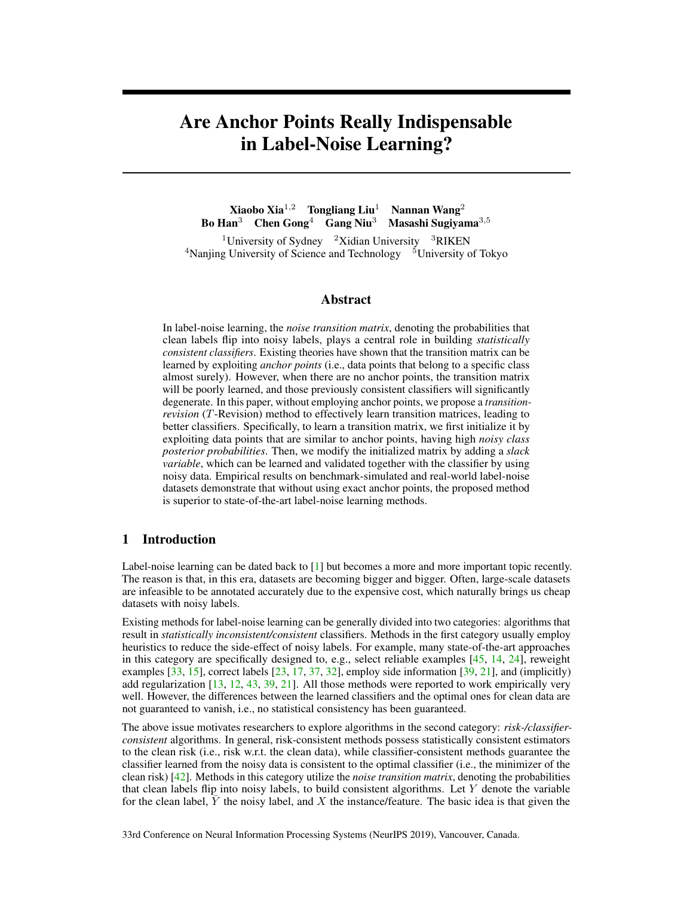# Are Anchor Points Really Indispensable in Label-Noise Learning?

Xiaobo Xia1*,*<sup>2</sup> Tongliang Liu<sup>1</sup> Nannan Wang<sup>2</sup> Bo Han<sup>3</sup> Chen Gong<sup>4</sup> Gang Niu<sup>3</sup> Masashi Sugiyama3*,*<sup>5</sup> <sup>1</sup>University of Sydney  $2\pi$  2Xidian University  $3RIKEN$  $4$ Nanjing University of Science and Technology  $5$ University of Tokyo

## Abstract

In label-noise learning, the *noise transition matrix*, denoting the probabilities that clean labels flip into noisy labels, plays a central role in building *statistically consistent classifiers*. Existing theories have shown that the transition matrix can be learned by exploiting *anchor points* (i.e., data points that belong to a specific class almost surely). However, when there are no anchor points, the transition matrix will be poorly learned, and those previously consistent classifiers will significantly degenerate. In this paper, without employing anchor points, we propose a *transitionrevision* (*T*-Revision) method to effectively learn transition matrices, leading to better classifiers. Specifically, to learn a transition matrix, we first initialize it by exploiting data points that are similar to anchor points, having high *noisy class posterior probabilities*. Then, we modify the initialized matrix by adding a *slack variable*, which can be learned and validated together with the classifier by using noisy data. Empirical results on benchmark-simulated and real-world label-noise datasets demonstrate that without using exact anchor points, the proposed method is superior to state-of-the-art label-noise learning methods.

## 1 Introduction

Label-noise learning can be dated back to [\[1\]](#page-9-0) but becomes a more and more important topic recently. The reason is that, in this era, datasets are becoming bigger and bigger. Often, large-scale datasets are infeasible to be annotated accurately due to the expensive cost, which naturally brings us cheap datasets with noisy labels.

Existing methods for label-noise learning can be generally divided into two categories: algorithms that result in *statistically inconsistent/consistent* classifiers. Methods in the first category usually employ heuristics to reduce the side-effect of noisy labels. For example, many state-of-the-art approaches in this category are specifically designed to, e.g., select reliable examples [\[45,](#page-11-0) [14,](#page-9-1) [24\]](#page-10-0), reweight examples  $[33, 15]$  $[33, 15]$  $[33, 15]$ , correct labels  $[23, 17, 37, 32]$  $[23, 17, 37, 32]$  $[23, 17, 37, 32]$  $[23, 17, 37, 32]$  $[23, 17, 37, 32]$  $[23, 17, 37, 32]$  $[23, 17, 37, 32]$ , employ side information  $[39, 21]$  $[39, 21]$  $[39, 21]$ , and (implicitly) add regularization [\[13,](#page-9-3) [12,](#page-9-4) [43,](#page-11-3) [39,](#page-11-2) [21\]](#page-10-5). All those methods were reported to work empirically very well. However, the differences between the learned classifiers and the optimal ones for clean data are not guaranteed to vanish, i.e., no statistical consistency has been guaranteed.

The above issue motivates researchers to explore algorithms in the second category: *risk-/classifierconsistent* algorithms. In general, risk-consistent methods possess statistically consistent estimators to the clean risk (i.e., risk w.r.t. the clean data), while classifier-consistent methods guarantee the classifier learned from the noisy data is consistent to the optimal classifier (i.e., the minimizer of the clean risk) [\[42\]](#page-11-4). Methods in this category utilize the *noise transition matrix*, denoting the probabilities that clean labels flip into noisy labels, to build consistent algorithms. Let *Y* denote the variable for the clean label,  $\overline{Y}$  the noisy label, and  $\overline{X}$  the instance/feature. The basic idea is that given the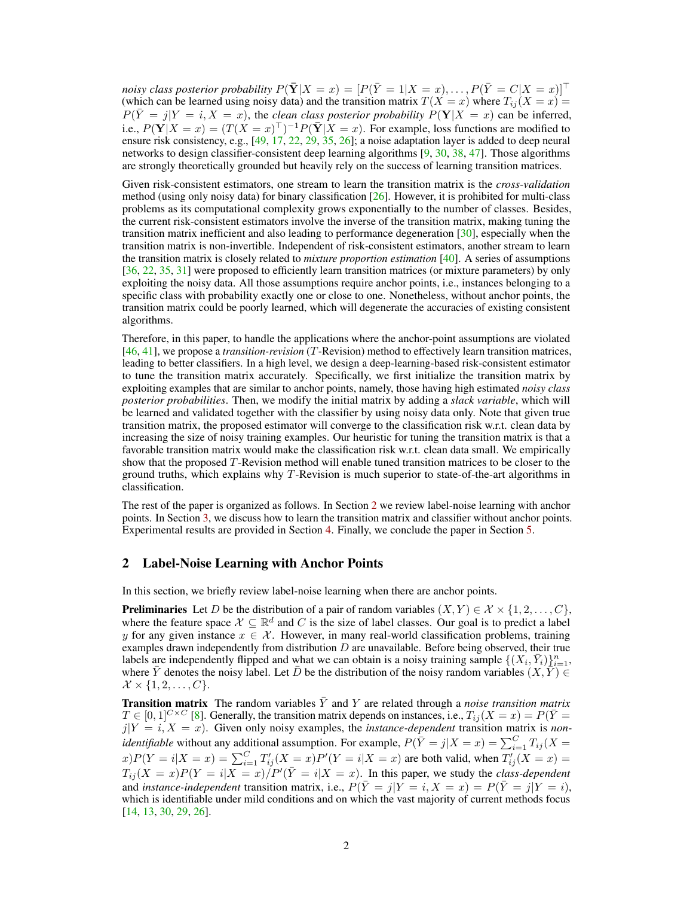*noisy class posterior probability*  $P(\bar{Y}|X=x) = [P(\bar{Y}=1|X=x), \ldots, P(\bar{Y}=C|X=x)]^{\top}$ (which can be learned using noisy data) and the transition matrix  $T(X = x)$  where  $T_{ij}(X = x) =$  $P(\bar{Y} = j|Y = i, X = x)$ , the *clean class posterior probability*  $P(Y|X = x)$  can be inferred, i.e.,  $P(Y|X = x) = (T(X = x)^{\top})^{-1}P(\bar{Y}|X = x)$ . For example, loss functions are modified to ensure risk consistency, e.g., [\[49,](#page-11-5) [17,](#page-10-3) [22,](#page-10-6) [29,](#page-10-7) [35,](#page-10-8) [26\]](#page-10-9); a noise adaptation layer is added to deep neural networks to design classifier-consistent deep learning algorithms  $[9, 30, 38, 47]$  $[9, 30, 38, 47]$  $[9, 30, 38, 47]$  $[9, 30, 38, 47]$  $[9, 30, 38, 47]$  $[9, 30, 38, 47]$  $[9, 30, 38, 47]$ . Those algorithms are strongly theoretically grounded but heavily rely on the success of learning transition matrices.

Given risk-consistent estimators, one stream to learn the transition matrix is the *cross-validation* method (using only noisy data) for binary classification  $[26]$ . However, it is prohibited for multi-class problems as its computational complexity grows exponentially to the number of classes. Besides, the current risk-consistent estimators involve the inverse of the transition matrix, making tuning the transition matrix inefficient and also leading to performance degeneration [\[30\]](#page-10-10), especially when the transition matrix is non-invertible. Independent of risk-consistent estimators, another stream to learn the transition matrix is closely related to *mixture proportion estimation* [\[40\]](#page-11-8). A series of assumptions [\[36,](#page-10-11) [22,](#page-10-6) [35,](#page-10-8) [31\]](#page-10-12) were proposed to efficiently learn transition matrices (or mixture parameters) by only exploiting the noisy data. All those assumptions require anchor points, i.e., instances belonging to a specific class with probability exactly one or close to one. Nonetheless, without anchor points, the transition matrix could be poorly learned, which will degenerate the accuracies of existing consistent algorithms.

Therefore, in this paper, to handle the applications where the anchor-point assumptions are violated [\[46,](#page-11-9) [41\]](#page-11-10), we propose a *transition-revision* (*T*-Revision) method to effectively learn transition matrices, leading to better classifiers. In a high level, we design a deep-learning-based risk-consistent estimator to tune the transition matrix accurately. Specifically, we first initialize the transition matrix by exploiting examples that are similar to anchor points, namely, those having high estimated *noisy class posterior probabilities*. Then, we modify the initial matrix by adding a *slack variable*, which will be learned and validated together with the classifier by using noisy data only. Note that given true transition matrix, the proposed estimator will converge to the classification risk w.r.t. clean data by increasing the size of noisy training examples. Our heuristic for tuning the transition matrix is that a favorable transition matrix would make the classification risk w.r.t. clean data small. We empirically show that the proposed *T*-Revision method will enable tuned transition matrices to be closer to the ground truths, which explains why *T*-Revision is much superior to state-of-the-art algorithms in classification.

The rest of the paper is organized as follows. In Section [2](#page-1-0) we review label-noise learning with anchor points. In Section [3,](#page-2-0) we discuss how to learn the transition matrix and classifier without anchor points. Experimental results are provided in Section [4.](#page-5-0) Finally, we conclude the paper in Section [5.](#page-8-0)

## <span id="page-1-0"></span>2 Label-Noise Learning with Anchor Points

In this section, we briefly review label-noise learning when there are anchor points.

**Preliminaries** Let *D* be the distribution of a pair of random variables  $(X, Y) \in \mathcal{X} \times \{1, 2, \ldots, C\}$ , where the feature space  $\mathcal{X} \subseteq \mathbb{R}^d$  and *C* is the size of label classes. Our goal is to predict a label *y* for any given instance  $x \in \mathcal{X}$ . However, in many real-world classification problems, training examples drawn independently from distribution *D* are unavailable. Before being observed, their true labels are independently flipped and what we can obtain is a noisy training sample  $\{(X_i, \overline{Y}_i)\}_{i=1}^n$ , where *Y* denotes the noisy label. Let *D* be the distribution of the noisy random variables  $(X, Y) \in$  $\mathcal{X} \times \{1, 2, ..., C\}.$ 

**Transition matrix** The random variables  $\bar{Y}$  and  $Y$  are related through a *noise transition matrix*  $T \in [0,1]^{C \times C}$  [\[8\]](#page-9-6). Generally, the transition matrix depends on instances, i.e.,  $T_{ij} (X = x) = P(\overline{Y} = x)$  $j|Y = i, X = x$ ). Given only noisy examples, the *instance-dependent* transition matrix is *nonidentifiable* without any additional assumption. For example,  $P(\bar{Y} = j | X = x) = \sum_{i=1}^{C} T_{ij} (X = y)$  $f(x)P(Y = i|X = x) = \sum_{i=1}^{C} T'_{ij}(X = x)P'(Y = i|X = x)$  are both valid, when  $T'_{ij}(X = x) =$  $T_{ij}(X = x)P(Y = i|X = x)/P'(\bar{Y} = i|X = x)$ . In this paper, we study the *class-dependent* and *instance-independent* transition matrix, i.e.,  $P(\overline{Y} = j | Y = i, X = x) = P(\overline{Y} = j | Y = i)$ , which is identifiable under mild conditions and on which the vast majority of current methods focus [\[14,](#page-9-1) [13,](#page-9-3) [30,](#page-10-10) [29,](#page-10-7) [26\]](#page-10-9).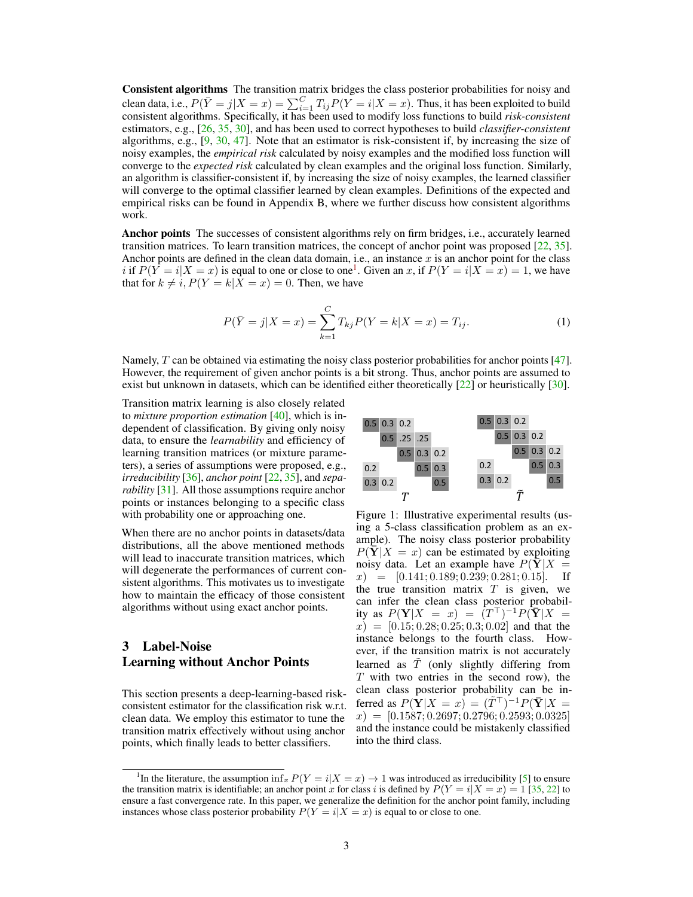Consistent algorithms The transition matrix bridges the class posterior probabilities for noisy and clean data, i.e.,  $P(\overline{Y} = j | X = x) = \sum_{i=1}^{C} T_{ij} P(Y = i | X = x)$ . Thus, it has been exploited to build consistent algorithms. Specifically, it has been used to modify loss functions to build *risk-consistent* estimators, e.g., [\[26,](#page-10-9) [35,](#page-10-8) [30\]](#page-10-10), and has been used to correct hypotheses to build *classifier-consistent* algorithms, e.g., [\[9,](#page-9-5) [30,](#page-10-10) [47\]](#page-11-7). Note that an estimator is risk-consistent if, by increasing the size of noisy examples, the *empirical risk* calculated by noisy examples and the modified loss function will converge to the *expected risk* calculated by clean examples and the original loss function. Similarly, an algorithm is classifier-consistent if, by increasing the size of noisy examples, the learned classifier will converge to the optimal classifier learned by clean examples. Definitions of the expected and empirical risks can be found in Appendix B, where we further discuss how consistent algorithms work.

Anchor points The successes of consistent algorithms rely on firm bridges, i.e., accurately learned transition matrices. To learn transition matrices, the concept of anchor point was proposed [\[22,](#page-10-6) [35\]](#page-10-8). Anchor points are defined in the clean data domain, i.e., an instance *x* is an anchor point for the class *i* if  $P(Y = i | X = x)$  is equal to one or close to one<sup>1</sup>. Given an *x*, if  $P(Y = i | X = x) = 1$ , we have that for  $k \neq i$ ,  $P(Y = k | X = x) = 0$ . Then, we have

$$
P(\bar{Y} = j | X = x) = \sum_{k=1}^{C} T_{kj} P(Y = k | X = x) = T_{ij}.
$$
\n(1)

Namely, *T* can be obtained via estimating the noisy class posterior probabilities for anchor points [\[47\]](#page-11-7). However, the requirement of given anchor points is a bit strong. Thus, anchor points are assumed to exist but unknown in datasets, which can be identified either theoretically [\[22\]](#page-10-6) or heuristically [\[30\]](#page-10-10).

Transition matrix learning is also closely related to *mixture proportion estimation* [\[40\]](#page-11-8), which is independent of classification. By giving only noisy data, to ensure the *learnability* and efficiency of learning transition matrices (or mixture parameters), a series of assumptions were proposed, e.g., *irreducibility* [\[36\]](#page-10-11), *anchor point* [\[22,](#page-10-6) [35\]](#page-10-8), and *separability* [\[31\]](#page-10-12). All those assumptions require anchor points or instances belonging to a specific class with probability one or approaching one.

When there are no anchor points in datasets/data distributions, all the above mentioned methods will lead to inaccurate transition matrices, which will degenerate the performances of current consistent algorithms. This motivates us to investigate how to maintain the efficacy of those consistent algorithms without using exact anchor points.

## <span id="page-2-0"></span>3 Label-Noise Learning without Anchor Points

This section presents a deep-learning-based riskconsistent estimator for the classification risk w.r.t. clean data. We employ this estimator to tune the transition matrix effectively without using anchor points, which finally leads to better classifiers.

<span id="page-2-3"></span><span id="page-2-2"></span>

Figure 1: Illustrative experimental results (using a 5-class classification problem as an example). The noisy class posterior probability  $P(Y|X = x)$  can be estimated by exploiting noisy data. Let an example have  $P(Y|X = r) = [0.141 \cdot 0.189 \cdot 0.239 \cdot 0.281 \cdot 0.15]$  If  $x$  = [0*.*141; 0*.*189; 0*.*239; 0*.*281; 0*.*15]. the true transition matrix *T* is given, we can infer the clean class posterior probability as  $P(Y|X = x) = (T<sup>T</sup>)^{-1}P(\overline{Y}|X = x)$ *x*) = [0*.*15; 0*.*28; 0*.*25; 0*.*3; 0*.*02] and that the instance belongs to the fourth class. However, if the transition matrix is not accurately learned as *T*˜ (only slightly differing from *T* with two entries in the second row), the clean class posterior probability can be inferred as  $P(Y|X = x) = (\tilde{T}^\top)^{-1}P(\bar{Y}|X = x)$ *x*) = [0*.*1587; 0*.*2697; 0*.*2796; 0*.*2593; 0*.*0325] and the instance could be mistakenly classified into the third class.

<span id="page-2-1"></span><sup>&</sup>lt;sup>1</sup>In the literature, the assumption inf<sub>*x*</sub>  $P(Y = i | X = x) \rightarrow 1$  was introduced as irreducibility [\[5\]](#page-9-7) to ensure the transition matrix is identifiable; an anchor point *x* for class *i* is defined by  $P(Y = i | X = x) = 1$  [\[35,](#page-10-8) [22\]](#page-10-6) to ensure a fast convergence rate. In this paper, we generalize the definition for the anchor point family, including instances whose class posterior probability  $P(Y = i | X = x)$  is equal to or close to one.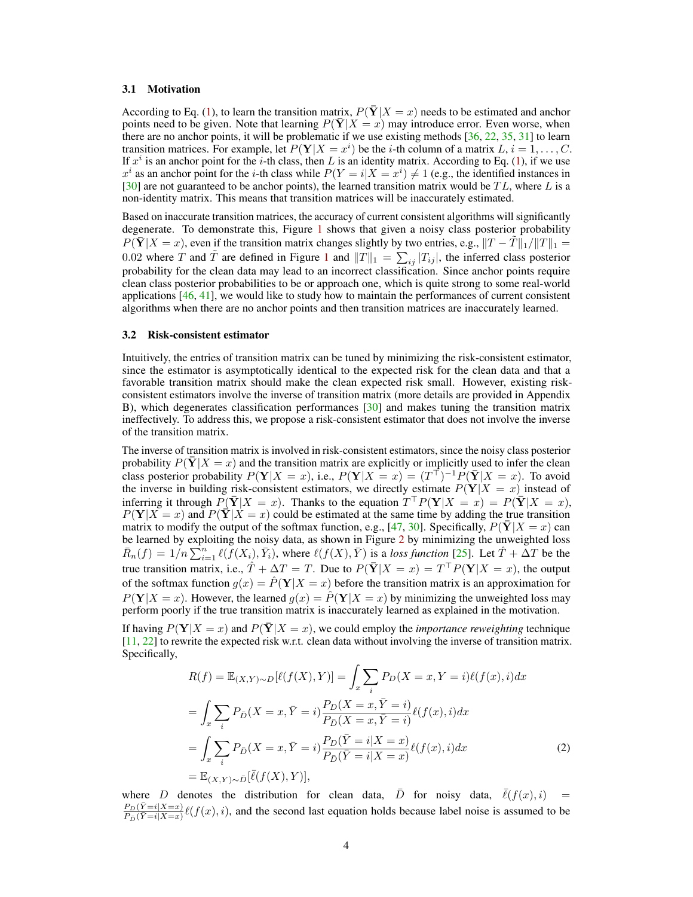#### 3.1 Motivation

According to Eq. [\(1\)](#page-2-2), to learn the transition matrix,  $P(\bar{Y}|X=x)$  needs to be estimated and anchor points need to be given. Note that learning  $P(\bar{Y}|X=x)$  may introduce error. Even worse, when there are no anchor points, it will be problematic if we use existing methods  $[36, 22, 35, 31]$  $[36, 22, 35, 31]$  $[36, 22, 35, 31]$  $[36, 22, 35, 31]$  $[36, 22, 35, 31]$  $[36, 22, 35, 31]$  $[36, 22, 35, 31]$  to learn transition matrices. For example, let  $P(Y|X = x^i)$  be the *i*-th column of a matrix *L*,  $i = 1, ..., C$ . If  $x^i$  is an anchor point for the *i*-th class, then *L* is an identity matrix. According to Eq. [\(1\)](#page-2-2), if we use  $x^i$  as an anchor point for the *i*-th class while  $P(Y = i | X = x^i) \neq 1$  (e.g., the identified instances in [\[30\]](#page-10-10) are not guaranteed to be anchor points), the learned transition matrix would be *T L*, where *L* is a non-identity matrix. This means that transition matrices will be inaccurately estimated.

Based on inaccurate transition matrices, the accuracy of current consistent algorithms will significantly degenerate. To demonstrate this, Figure [1](#page-2-3) shows that given a noisy class posterior probability  $P(\bar{Y}|X=x)$ , even if the transition matrix changes slightly by two entries, e.g.,  $||T - \bar{T}||_1 / ||T||_1 =$ 0.02 where *T* and  $\tilde{T}$  are defined in Figure [1](#page-2-3) and  $||T||_1 = \sum_{ij} |T_{ij}|$ , the inferred class posterior probability for the clean data may lead to an incorrect classification. Since anchor points require clean class posterior probabilities to be or approach one, which is quite strong to some real-world applications  $[46, 41]$  $[46, 41]$  $[46, 41]$ , we would like to study how to maintain the performances of current consistent algorithms when there are no anchor points and then transition matrices are inaccurately learned.

## 3.2 Risk-consistent estimator

Intuitively, the entries of transition matrix can be tuned by minimizing the risk-consistent estimator, since the estimator is asymptotically identical to the expected risk for the clean data and that a favorable transition matrix should make the clean expected risk small. However, existing riskconsistent estimators involve the inverse of transition matrix (more details are provided in Appendix B), which degenerates classification performances [\[30\]](#page-10-10) and makes tuning the transition matrix ineffectively. To address this, we propose a risk-consistent estimator that does not involve the inverse of the transition matrix.

The inverse of transition matrix is involved in risk-consistent estimators, since the noisy class posterior probability  $P(\overline{Y} | X = x)$  and the transition matrix are explicitly or implicitly used to infer the clean class posterior probability  $P(Y|X = x)$ , i.e.,  $P(Y|X = x) = (T<sup>T</sup>)<sup>-1</sup>P(\bar{Y}|X = x)$ . To avoid the inverse in building risk-consistent estimators, we directly estimate  $P(Y|X = x)$  instead of inferring it through  $P(\bar{Y}|X=x)$ . Thanks to the equation  $T^{\top}P(Y|X=x) = P(\bar{Y}|X=x)$ ,  $P(Y|X = x)$  and  $P(\bar{Y}|X = x)$  could be estimated at the same time by adding the true transition matrix to modify the output of the softmax function, e.g., [\[47,](#page-11-7) [30\]](#page-10-10). Specifically,  $P(Y|X=x)$  can be learned by exploiting the noisy data, as shown in Figure [2](#page-4-0) by minimizing the unweighted loss  $\bar{R}_n(f) = 1/n \sum_{i=1}^n \ell(f(X_i), \bar{Y}_i)$ , where  $\ell(f(X), \bar{Y})$  is a loss function [\[25\]](#page-10-13). Let  $\hat{T} + \Delta T$  be the true transition matrix, i.e.,  $\hat{T} + \Delta T = T$ . Due to  $P(\bar{Y}|X = x) = T^{\top}P(Y|X = x)$ , the output of the softmax function  $g(x) = \hat{P}(Y|X = x)$  before the transition matrix is an approximation for  $P(Y|X = x)$ . However, the learned  $g(x) = \hat{P}(Y|X = x)$  by minimizing the unweighted loss may perform poorly if the true transition matrix is inaccurately learned as explained in the motivation.

If having  $P(Y|X=x)$  and  $P(\bar{Y}|X=x)$ , we could employ the *importance reweighting* technique [\[11,](#page-9-8) [22\]](#page-10-6) to rewrite the expected risk w.r.t. clean data without involving the inverse of transition matrix. Specifically,

<span id="page-3-0"></span>
$$
R(f) = \mathbb{E}_{(X,Y)\sim D}[\ell(f(X),Y)] = \int_x \sum_i P_D(X=x,Y=i)\ell(f(x),i)dx
$$
  
\n
$$
= \int_x \sum_i P_{\bar{D}}(X=x,\bar{Y}=i) \frac{P_D(X=x,\bar{Y}=i)}{P_{\bar{D}}(X=x,\bar{Y}=i)} \ell(f(x),i)dx
$$
  
\n
$$
= \int_x \sum_i P_{\bar{D}}(X=x,\bar{Y}=i) \frac{P_D(\bar{Y}=i|X=x)}{P_{\bar{D}}(\bar{Y}=i|X=x)} \ell(f(x),i)dx
$$
  
\n
$$
= \mathbb{E}_{(X,Y)\sim \bar{D}}[\bar{\ell}(f(X),Y)],
$$
\n(2)

where *D* denotes the distribution for clean data,  $\overline{D}$  for noisy data,  $\overline{\ell}(f(x), i)$  $\frac{P_D(\overline{Y}=i|X=x)}{P_D(\overline{Y}=i|X=x)}\ell(f(x), i)$ , and the second last equation holds because label noise is assumed to be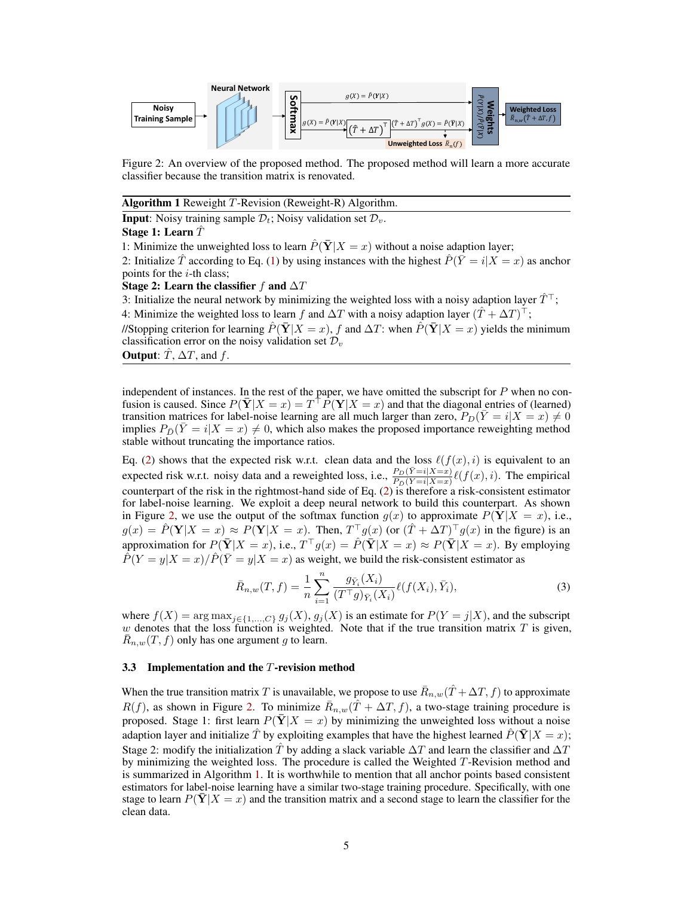<span id="page-4-0"></span>

Figure 2: An overview of the proposed method. The proposed method will learn a more accurate classifier because the transition matrix is renovated.

<span id="page-4-1"></span>

| Algorithm 1 Reweight T-Revision (Reweight-R) Algorithm. |  |  |
|---------------------------------------------------------|--|--|
|                                                         |  |  |

**Input**: Noisy training sample  $\mathcal{D}_t$ ; Noisy validation set  $\mathcal{D}_v$ .

#### Stage 1: Learn *T*ˆ

1: Minimize the unweighted loss to learn  $\hat{P}(\bar{Y}|X=x)$  without a noise adaption layer;

2: Initialize  $\hat{T}$  according to Eq. [\(1\)](#page-2-2) by using instances with the highest  $\hat{P}(\bar{Y} = i | X = x)$  as anchor points for the *i*-th class;

## Stage 2: Learn the classifier  $f$  and  $\Delta T$

3: Initialize the neural network by minimizing the weighted loss with a noisy adaption layer  $\hat{T}^{\top}$ ; 4: Minimize the weighted loss to learn *f* and  $\Delta T$  with a noisy adaption layer  $(\hat{T} + \Delta T)^{\top}$ ;

//Stopping criterion for learning  $\hat{P}(\bar{Y}|X=x)$ , f and  $\Delta T$ : when  $\hat{P}(\bar{Y}|X=x)$  yields the minimum classification error on the noisy validation set *D<sup>v</sup>*

**Output:**  $\hat{T}$ ,  $\Delta T$ , and  $f$ .

independent of instances. In the rest of the paper, we have omitted the subscript for *P* when no confusion is caused. Since  $P(\bar{Y}|X=x) = T^{\top}P(Y|X=x)$  and that the diagonal entries of (learned) transition matrices for label-noise learning are all much larger than zero,  $P_D(\overline{Y} = i | X = x) \neq 0$ implies  $P_{\bar{D}}(\bar{Y}=i|X=x) \neq 0$ , which also makes the proposed importance reweighting method stable without truncating the importance ratios.

Eq. [\(2\)](#page-3-0) shows that the expected risk w.r.t. clean data and the loss  $\ell(f(x), i)$  is equivalent to an expected risk w.r.t. noisy data and a reweighted loss, i.e.,  $\frac{P_D(\overline{Y}=i|X=x)}{P_D(\overline{Y}=i|X=x)}\ell(f(x),i)$ . The empirical counterpart of the risk in the rightmost-hand side of Eq. [\(2\)](#page-3-0) is therefore a risk-consistent estimator for label-noise learning. We exploit a deep neural network to build this counterpart. As shown in Figure [2,](#page-4-0) we use the output of the softmax function  $g(x)$  to approximate  $P(Y|X = x)$ , i.e.,  $g(x) = \hat{P}(\mathbf{Y}|X = x) \approx P(\mathbf{Y}|X = x)$ . Then,  $T^{\top}g(x)$  (or  $(\hat{T} + \Delta T)^{\top}g(x)$  in the figure) is an approximation for  $P(\overline{Y} | X = x)$ , i.e.,  $T^{\top} g(x) = \hat{P}(\overline{Y} | X = x) \approx P(\overline{Y} | X = x)$ . By employing  $P(Y = y|X = x)/P(\overline{Y} = y|X = x)$  as weight, we build the risk-consistent estimator as

$$
\bar{R}_{n,w}(T,f) = \frac{1}{n} \sum_{i=1}^{n} \frac{g_{\bar{Y}_i}(X_i)}{(T^\top g)_{\bar{Y}_i}(X_i)} \ell(f(X_i), \bar{Y}_i),\tag{3}
$$

where  $f(X) = \arg \max_{j \in \{1, ..., C\}} g_j(X), g_j(X)$  is an estimate for  $P(Y = j | X)$ , and the subscript *w* denotes that the loss function is weighted. Note that if the true transition matrix *T* is given,  $\bar{R}_{n,w}(T,f)$  only has one argument *g* to learn.

#### 3.3 Implementation and the *T*-revision method

When the true transition matrix *T* is unavailable, we propose to use  $\bar{R}_{n,w}(\hat{T} + \Delta T, f)$  to approximate  $R(f)$ , as shown in Figure [2.](#page-4-0) To minimize  $\bar{R}_{n,w}(T + \Delta T, f)$ , a two-stage training procedure is proposed. Stage 1: first learn  $P(Y|X = x)$  by minimizing the unweighted loss without a noise adaption layer and initialize  $\hat{T}$  by exploiting examples that have the highest learned  $\hat{P}(\bar{Y}|X=x)$ ; Stage 2: modify the initialization  $\hat{T}$  by adding a slack variable  $\Delta T$  and learn the classifier and  $\Delta T$ by minimizing the weighted loss. The procedure is called the Weighted *T*-Revision method and is summarized in Algorithm [1.](#page-4-1) It is worthwhile to mention that all anchor points based consistent estimators for label-noise learning have a similar two-stage training procedure. Specifically, with one stage to learn  $P(\bar{Y} | X = x)$  and the transition matrix and a second stage to learn the classifier for the clean data.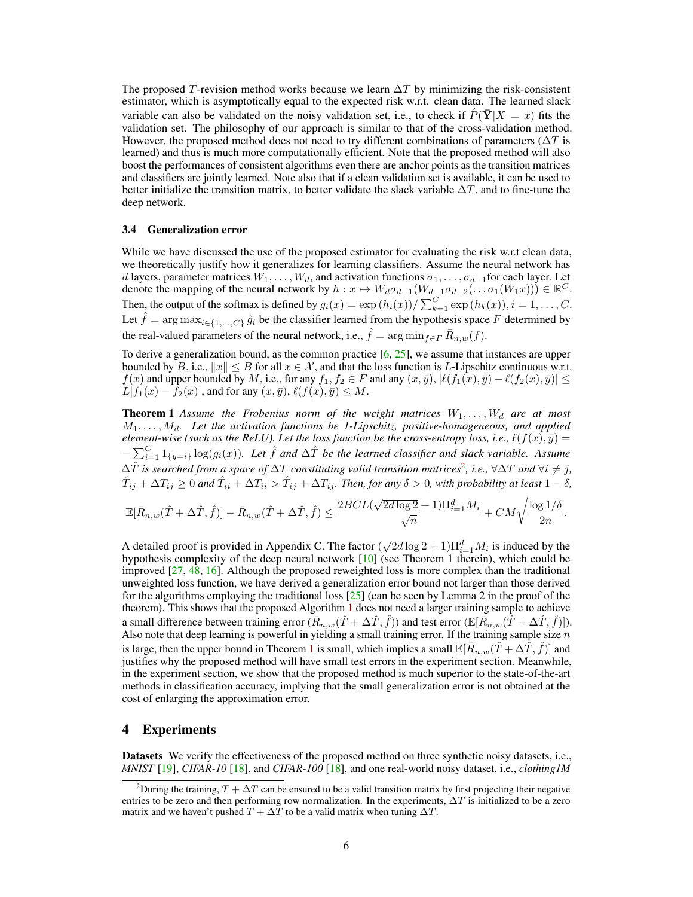The proposed *T*-revision method works because we learn  $\Delta T$  by minimizing the risk-consistent estimator, which is asymptotically equal to the expected risk w.r.t. clean data. The learned slack variable can also be validated on the noisy validation set, i.e., to check if  $P(Y|X=x)$  fits the validation set. The philosophy of our approach is similar to that of the cross-validation method. However, the proposed method does not need to try different combinations of parameters  $(\Delta T)$  is learned) and thus is much more computationally efficient. Note that the proposed method will also boost the performances of consistent algorithms even there are anchor points as the transition matrices and classifiers are jointly learned. Note also that if a clean validation set is available, it can be used to better initialize the transition matrix, to better validate the slack variable  $\Delta T$ , and to fine-tune the deep network.

#### 3.4 Generalization error

While we have discussed the use of the proposed estimator for evaluating the risk w.r.t clean data, we theoretically justify how it generalizes for learning classifiers. Assume the neural network has *d* layers, parameter matrices  $W_1, \ldots, W_d$ , and activation functions  $\sigma_1, \ldots, \sigma_{d-1}$  for each layer. Let denote the mapping of the neural network by  $h: x \mapsto W_d \sigma_{d-1}(W_{d-1} \sigma_{d-2}(\ldots \sigma_1(W_1 x))) \in \mathbb{R}^C$ . Then, the output of the softmax is defined by  $g_i(x) = \exp(h_i(x))/\sum_{k=1}^{C} \exp(h_k(x)), i = 1, \ldots, C$ . Let  $\hat{f} = \arg \max_{i \in \{1, ..., C\}} \hat{g}_i$  be the classifier learned from the hypothesis space *F* determined by the real-valued parameters of the neural network, i.e.,  $\hat{f} = \arg \min_{f \in F} \bar{R}_{n,w}(f)$ .

<span id="page-5-2"></span>To derive a generalization bound, as the common practice  $[6, 25]$  $[6, 25]$  $[6, 25]$ , we assume that instances are upper bounded by *B*, i.e.,  $||x|| \leq B$  for all  $x \in \mathcal{X}$ , and that the loss function is *L*-Lipschitz continuous w.r.t.  $f(x)$  and upper bounded by M, i.e., for any  $f_1, f_2 \in F$  and any  $(x, \bar{y}), |\ell(f_1(x), \bar{y}) - \ell(f_2(x), \bar{y})| \le$  $L|f_1(x) - f_2(x)|$ , and for any  $(x, \bar{y}), \ell(f(x), \bar{y}) \leq M$ .

**Theorem 1** Assume the Frobenius norm of the weight matrices  $W_1, \ldots, W_d$  are at most *M*1*,...,Md. Let the activation functions be 1-Lipschitz, positive-homogeneous, and applied element-wise (such as the ReLU). Let the loss function be the cross-entropy loss, i.e.,*  $\ell(f(x), \bar{y}) =$  $-\sum_{i=1}^{C} 1_{\{\bar{y}=i\}} \log(g_i(x))$ . Let  $\hat{f}$  and  $\Delta \hat{T}$  be the learned classifier and slack variable. Assume  $\Delta \hat{T}$  *is searched from a space of*  $\Delta T$  *constituting valid transition matrices<sup>[2](#page-5-1)</sup>, <i>i.e.*,  $\forall \Delta T$  *and*  $\forall i \neq j$ *,*  $\hat{T}_{ij} + \Delta T_{ij} \ge 0$  and  $\hat{T}_{ii} + \Delta T_{ii} > \hat{T}_{ij} + \Delta T_{ij}$ . Then, for any  $\delta > 0$ , with probability at least  $1 - \delta$ ,

$$
\mathbb{E}[\bar{R}_{n,w}(\hat{T}+\Delta\hat{T},\hat{f})]-\bar{R}_{n,w}(\hat{T}+\Delta\hat{T},\hat{f})\leq \frac{2BCL(\sqrt{2d\log 2}+1)\Pi_{i=1}^dM_i}{\sqrt{n}}+CM\sqrt{\frac{\log 1/\delta}{2n}}.
$$

A detailed proof is provided in Appendix C. The factor  $(\sqrt{2d \log 2} + 1)\prod_{i=1}^d M_i$  is induced by the hypothesis complexity of the deep neural network  $[10]$  (see Theorem 1 therein), which could be improved  $[27, 48, 16]$  $[27, 48, 16]$  $[27, 48, 16]$  $[27, 48, 16]$  $[27, 48, 16]$ . Although the proposed reweighted loss is more complex than the traditional unweighted loss function, we have derived a generalization error bound not larger than those derived for the algorithms employing the traditional loss  $[25]$  (can be seen by Lemma 2 in the proof of the theorem). This shows that the proposed Algorithm [1](#page-4-1) does not need a larger training sample to achieve a small difference between training error  $(\bar{R}_{n,w}(\hat{T} + \Delta \hat{T}, \hat{f}))$  and test error  $(\mathbb{E}[\bar{R}_{n,w}(\hat{T} + \Delta \hat{T}, \hat{f})])$ . Also note that deep learning is powerful in yielding a small training error. If the training sample size *n* is large, then the upper bound in Theorem [1](#page-5-2) is small, which implies a small  $\mathbb{E}[\bar{R}_{n,w}(\hat{T}+\Delta \hat{T},\hat{f})]$  and justifies why the proposed method will have small test errors in the experiment section. Meanwhile, in the experiment section, we show that the proposed method is much superior to the state-of-the-art methods in classification accuracy, implying that the small generalization error is not obtained at the cost of enlarging the approximation error.

### <span id="page-5-0"></span>4 Experiments

Datasets We verify the effectiveness of the proposed method on three synthetic noisy datasets, i.e., *MNIST* [\[19\]](#page-10-16), *CIFAR-10* [\[18\]](#page-10-17), and *CIFAR-100* [\[18\]](#page-10-17), and one real-world noisy dataset, i.e., *clothing1M*

<span id="page-5-1"></span><sup>&</sup>lt;sup>2</sup>During the training,  $T + \Delta T$  can be ensured to be a valid transition matrix by first projecting their negative entries to be zero and then performing row normalization. In the experiments,  $\Delta T$  is initialized to be a zero matrix and we haven't pushed  $T + \Delta T$  to be a valid matrix when tuning  $\Delta T$ .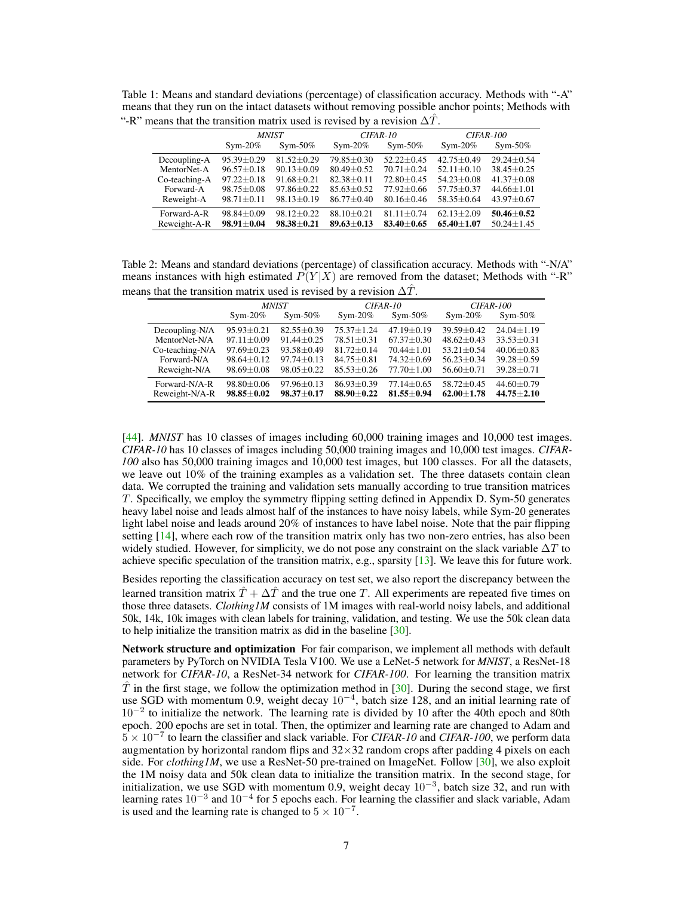<span id="page-6-0"></span>Table 1: Means and standard deviations (percentage) of classification accuracy. Methods with "-A" means that they run on the intact datasets without removing possible anchor points; Methods with "-R" means that the transition matrix used is revised by a revision  $\Delta \hat{T}$ .

|               | <b>MNIST</b>     |                  | CIFAR-10       |                  | <b>CIFAR-100</b> |                  |  |
|---------------|------------------|------------------|----------------|------------------|------------------|------------------|--|
|               | $Sym-20\%$       | $Sym-50\%$       | $Sym-20\%$     | $Sym-50\%$       | $Sym-20\%$       | $Sym-50\%$       |  |
| Decoupling-A  | $95.39 + 0.29$   | $81.52 + 0.29$   | $79.85 + 0.30$ | $52.22 + 0.45$   | $42.75 + 0.49$   | $29.24 + 0.54$   |  |
| MentorNet-A   | $96.57 + 0.18$   | $90.13 + 0.09$   | $80.49 + 0.52$ | $70.71 + 0.24$   | $52.11 + 0.10$   | $38.45 + 0.25$   |  |
| Co-teaching-A | $97.22 + 0.18$   | $91.68 + 0.21$   | $82.38 + 0.11$ | $72.80 + 0.45$   | $54.23 + 0.08$   | $41.37 + 0.08$   |  |
| Forward-A     | $98.75 + 0.08$   | $97.86 + 0.22$   | $85.63 + 0.52$ | $77.92 + 0.66$   | $57.75 + 0.37$   | $44.66 \pm 1.01$ |  |
| Reweight-A    | $98.71 \pm 0.11$ | $98.13 \pm 0.19$ | $86.77 + 0.40$ | $80.16 + 0.46$   | $58.35 + 0.64$   | $43.97 + 0.67$   |  |
| Forward-A-R   | $98.84 + 0.09$   | $98.12 + 0.22$   | $88.10 + 0.21$ | $81.11 \pm 0.74$ | $62.13 + 2.09$   | $50.46 + 0.52$   |  |
| Reweight-A-R  | $98.91 \pm 0.04$ | $98.38 + 0.21$   | $89.63 + 0.13$ | $83.40 + 0.65$   | $65.40 + 1.07$   | $50.24 \pm 1.45$ |  |

<span id="page-6-1"></span>Table 2: Means and standard deviations (percentage) of classification accuracy. Methods with "-N/A" means instances with high estimated  $P(Y|X)$  are removed from the dataset; Methods with "-R" means that the transition matrix used is revised by a revision  $\Delta T$ .

|                 | <b>MNIST</b>     |                  | CIFAR-10       |                  | <b>CIFAR-100</b> |                |
|-----------------|------------------|------------------|----------------|------------------|------------------|----------------|
|                 | $Sym-20\%$       | $Sym-50\%$       | $Sym-20\%$     | $Sym-50\%$       | $Sym-20\%$       | $Sym-50\%$     |
| Decoupling-N/A  | $95.93 + 0.21$   | $82.55 + 0.39$   | $75.37 + 1.24$ | $47.19 + 0.19$   | $39.59 + 0.42$   | $24.04 + 1.19$ |
| MentorNet-N/A   | $97.11 + 0.09$   | $91.44 + 0.25$   | $78.51 + 0.31$ | $67.37 + 0.30$   | $48.62 + 0.43$   | $33.53 + 0.31$ |
| Co-teaching-N/A | $97.69 + 0.23$   | $93.58 + 0.49$   | $81.72 + 0.14$ | $70.44 + 1.01$   | $53.21 + 0.54$   | $40.06 + 0.83$ |
| Forward-N/A     | $98.64 \pm 0.12$ | $97.74 + 0.13$   | $84.75 + 0.81$ | $74.32 + 0.69$   | $56.23 + 0.34$   | $39.28 + 0.59$ |
| Reweight-N/A    | $98.69 \pm 0.08$ | $98.05 \pm 0.22$ | $85.53 + 0.26$ | $77.70 + 1.00$   | $56.60 \pm 0.71$ | $39.28 + 0.71$ |
| Forward-N/A-R   | $98.80 + 0.06$   | $97.96 + 0.13$   | $86.93 + 0.39$ | $77.14 \pm 0.65$ | $58.72 + 0.45$   | $44.60 + 0.79$ |
| Reweight-N/A-R  | $98.85 \pm 0.02$ | $98.37 + 0.17$   | $88.90 + 0.22$ | $81.55 \pm 0.94$ | $62.00 + 1.78$   | $44.75 + 2.10$ |

[\[44\]](#page-11-12). *MNIST* has 10 classes of images including 60,000 training images and 10,000 test images. *CIFAR-10* has 10 classes of images including 50,000 training images and 10,000 test images. *CIFAR-100* also has 50,000 training images and 10,000 test images, but 100 classes. For all the datasets, we leave out 10% of the training examples as a validation set. The three datasets contain clean data. We corrupted the training and validation sets manually according to true transition matrices *T*. Specifically, we employ the symmetry flipping setting defined in Appendix D. Sym-50 generates heavy label noise and leads almost half of the instances to have noisy labels, while Sym-20 generates light label noise and leads around 20% of instances to have label noise. Note that the pair flipping setting [\[14\]](#page-9-1), where each row of the transition matrix only has two non-zero entries, has also been widely studied. However, for simplicity, we do not pose any constraint on the slack variable  $\Delta T$  to achieve specific speculation of the transition matrix, e.g., sparsity  $[13]$ . We leave this for future work.

Besides reporting the classification accuracy on test set, we also report the discrepancy between the learned transition matrix  $\hat{T} + \Delta \hat{T}$  and the true one *T*. All experiments are repeated five times on those three datasets. *Clothing1M* consists of 1M images with real-world noisy labels, and additional 50k, 14k, 10k images with clean labels for training, validation, and testing. We use the 50k clean data to help initialize the transition matrix as did in the baseline [\[30\]](#page-10-10).

Network structure and optimization For fair comparison, we implement all methods with default parameters by PyTorch on NVIDIA Tesla V100. We use a LeNet-5 network for *MNIST*, a ResNet-18 network for *CIFAR-10*, a ResNet-34 network for *CIFAR-100*. For learning the transition matrix  $\hat{T}$  in the first stage, we follow the optimization method in [\[30\]](#page-10-10). During the second stage, we first use SGD with momentum 0.9, weight decay  $10^{-4}$ , batch size 128, and an initial learning rate of  $10^{-2}$  to initialize the network. The learning rate is divided by 10 after the 40th epoch and 80th epoch. 200 epochs are set in total. Then, the optimizer and learning rate are changed to Adam and  $5 \times 10^{-7}$  to learn the classifier and slack variable. For *CIFAR-10* and *CIFAR-100*, we perform data augmentation by horizontal random flips and  $32\times32$  random crops after padding 4 pixels on each side. For *clothing IM*, we use a ResNet-50 pre-trained on ImageNet. Follow  $[30]$ , we also exploit the 1M noisy data and 50k clean data to initialize the transition matrix. In the second stage, for initialization, we use SGD with momentum 0.9, weight decay  $10^{-3}$ , batch size 32, and run with learning rates  $10^{-3}$  and  $10^{-4}$  for 5 epochs each. For learning the classifier and slack variable, Adam is used and the learning rate is changed to  $5 \times 10^{-7}$ .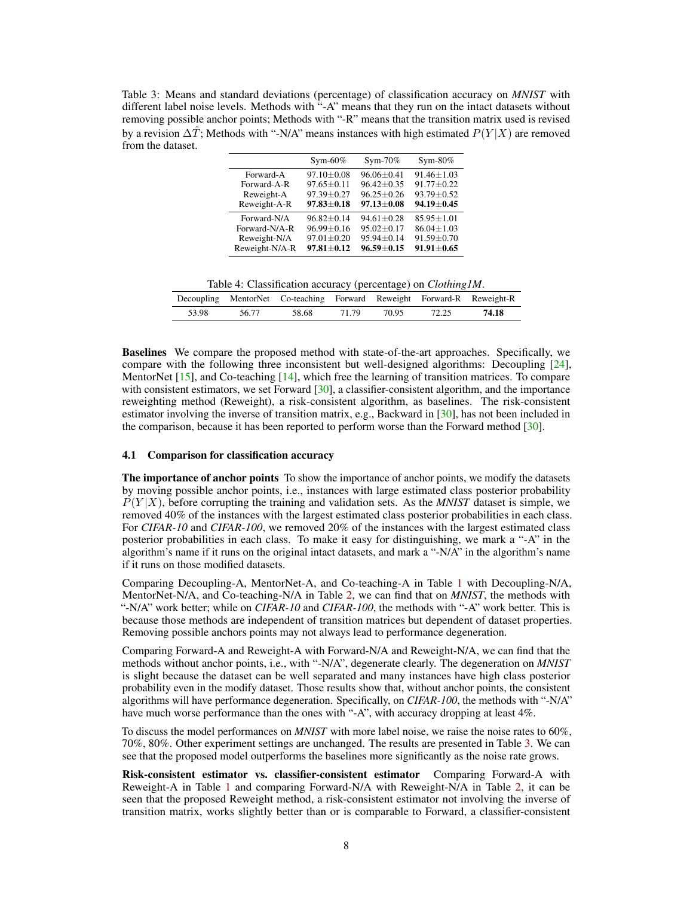<span id="page-7-0"></span>Table 3: Means and standard deviations (percentage) of classification accuracy on *MNIST* with different label noise levels. Methods with "-A" means that they run on the intact datasets without removing possible anchor points; Methods with "-R" means that the transition matrix used is revised by a revision  $\Delta \hat{T}$ ; Methods with "-N/A" means instances with high estimated  $P(Y|X)$  are removed from the dataset.

|                | $Sym-60\%$       | $Sym-70\%$       | $Sym-80\%$       |
|----------------|------------------|------------------|------------------|
| Forward-A      | $97.10 \pm 0.08$ | $96.06 \pm 0.41$ | $91.46 \pm 1.03$ |
| Forward-A-R    | $97.65 \pm 0.11$ | $96.42 \pm 0.35$ | $91.77 \pm 0.22$ |
| Reweight-A     | 97.39±0.27       | $96.25 \pm 0.26$ | $93.79 \pm 0.52$ |
| Reweight-A-R   | $97.83 \pm 0.18$ | $97.13 \pm 0.08$ | $94.19 \pm 0.45$ |
| Forward-N/A    | $96.82 + 0.14$   | $94.61 + 0.28$   | $85.95 \pm 1.01$ |
| Forward-N/A-R  | $96.99 \pm 0.16$ | $95.02 + 0.17$   | $86.04 \pm 1.03$ |
| Reweight-N/A   | $97.01 \pm 0.20$ | 95.94±0.14       | $91.59 \pm 0.70$ |
| Reweight-N/A-R | $97.81 + 0.12$   | $96.59 + 0.15$   | $91.91 \pm 0.65$ |

Table 4: Classification accuracy (percentage) on *Clothing1M*.

<span id="page-7-1"></span>

|       |       | Decoupling MentorNet Co-teaching Forward Reweight Forward-R Reweight-R |       |       |       |       |
|-------|-------|------------------------------------------------------------------------|-------|-------|-------|-------|
| 53.98 | 56.77 | 58.68                                                                  | 71.79 | 70.95 | 72.25 | 74.18 |

Baselines We compare the proposed method with state-of-the-art approaches. Specifically, we compare with the following three inconsistent but well-designed algorithms: Decoupling [\[24\]](#page-10-0), MentorNet [\[15\]](#page-9-2), and Co-teaching [\[14\]](#page-9-1), which free the learning of transition matrices. To compare with consistent estimators, we set Forward [\[30\]](#page-10-10), a classifier-consistent algorithm, and the importance reweighting method (Reweight), a risk-consistent algorithm, as baselines. The risk-consistent estimator involving the inverse of transition matrix, e.g., Backward in [\[30\]](#page-10-10), has not been included in the comparison, because it has been reported to perform worse than the Forward method [\[30\]](#page-10-10).

## 4.1 Comparison for classification accuracy

The importance of anchor points To show the importance of anchor points, we modify the datasets by moving possible anchor points, i.e., instances with large estimated class posterior probability  $P(Y|X)$ , before corrupting the training and validation sets. As the *MNIST* dataset is simple, we removed 40% of the instances with the largest estimated class posterior probabilities in each class. For *CIFAR-10* and *CIFAR-100*, we removed 20% of the instances with the largest estimated class posterior probabilities in each class. To make it easy for distinguishing, we mark a "-A" in the algorithm's name if it runs on the original intact datasets, and mark a "-N/A" in the algorithm's name if it runs on those modified datasets.

Comparing Decoupling-A, MentorNet-A, and Co-teaching-A in Table [1](#page-6-0) with Decoupling-N/A, MentorNet-N/A, and Co-teaching-N/A in Table [2,](#page-6-1) we can find that on *MNIST*, the methods with "-N/A" work better; while on *CIFAR-10* and *CIFAR-100*, the methods with "-A" work better. This is because those methods are independent of transition matrices but dependent of dataset properties. Removing possible anchors points may not always lead to performance degeneration.

Comparing Forward-A and Reweight-A with Forward-N/A and Reweight-N/A, we can find that the methods without anchor points, i.e., with "-N/A", degenerate clearly. The degeneration on *MNIST* is slight because the dataset can be well separated and many instances have high class posterior probability even in the modify dataset. Those results show that, without anchor points, the consistent algorithms will have performance degeneration. Specifically, on *CIFAR-100*, the methods with "-N/A" have much worse performance than the ones with "-A", with accuracy dropping at least 4%.

To discuss the model performances on *MNIST* with more label noise, we raise the noise rates to 60%, 70%, 80%. Other experiment settings are unchanged. The results are presented in Table [3.](#page-7-0) We can see that the proposed model outperforms the baselines more significantly as the noise rate grows.

Risk-consistent estimator vs. classifier-consistent estimator Comparing Forward-A with Reweight-A in Table [1](#page-6-0) and comparing Forward-N/A with Reweight-N/A in Table [2,](#page-6-1) it can be seen that the proposed Reweight method, a risk-consistent estimator not involving the inverse of transition matrix, works slightly better than or is comparable to Forward, a classifier-consistent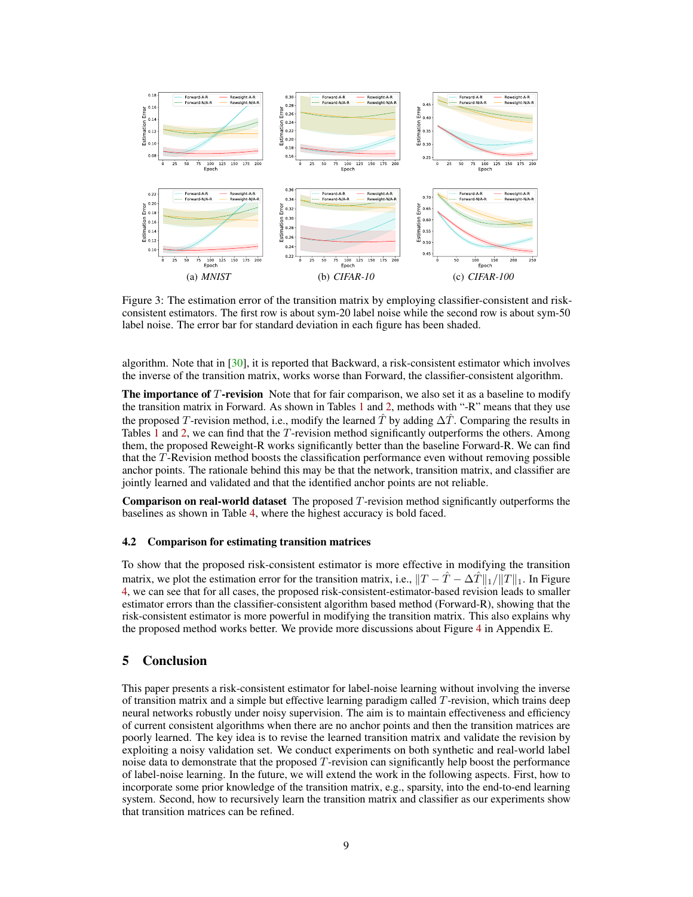

Figure 3: The estimation error of the transition matrix by employing classifier-consistent and riskconsistent estimators. The first row is about sym-20 label noise while the second row is about sym-50 label noise. The error bar for standard deviation in each figure has been shaded.

algorithm. Note that in [\[30\]](#page-10-10), it is reported that Backward, a risk-consistent estimator which involves the inverse of the transition matrix, works worse than Forward, the classifier-consistent algorithm.

**The importance of T-revision** Note that for fair comparison, we also set it as a baseline to modify the transition matrix in Forward. As shown in Tables [1](#page-6-0) and [2,](#page-6-1) methods with "-R" means that they use the proposed *T*-revision method, i.e., modify the learned  $\hat{T}$  by adding  $\Delta \hat{T}$ . Comparing the results in Tables [1](#page-6-0) and [2,](#page-6-1) we can find that the *T*-revision method significantly outperforms the others. Among them, the proposed Reweight-R works significantly better than the baseline Forward-R. We can find that the *T*-Revision method boosts the classification performance even without removing possible anchor points. The rationale behind this may be that the network, transition matrix, and classifier are jointly learned and validated and that the identified anchor points are not reliable.

Comparison on real-world dataset The proposed *T*-revision method significantly outperforms the baselines as shown in Table [4,](#page-7-1) where the highest accuracy is bold faced.

#### 4.2 Comparison for estimating transition matrices

To show that the proposed risk-consistent estimator is more effective in modifying the transition matrix, we plot the estimation error for the transition matrix, i.e.,  $||T - \hat{T} - \Delta \hat{T}||_1 / ||T||_1$ . In Figure [4,](#page--1-0) we can see that for all cases, the proposed risk-consistent-estimator-based revision leads to smaller estimator errors than the classifier-consistent algorithm based method (Forward-R), showing that the risk-consistent estimator is more powerful in modifying the transition matrix. This also explains why the proposed method works better. We provide more discussions about Figure [4](#page--1-0) in Appendix E.

## <span id="page-8-0"></span>5 Conclusion

This paper presents a risk-consistent estimator for label-noise learning without involving the inverse of transition matrix and a simple but effective learning paradigm called *T*-revision, which trains deep neural networks robustly under noisy supervision. The aim is to maintain effectiveness and efficiency of current consistent algorithms when there are no anchor points and then the transition matrices are poorly learned. The key idea is to revise the learned transition matrix and validate the revision by exploiting a noisy validation set. We conduct experiments on both synthetic and real-world label noise data to demonstrate that the proposed *T*-revision can significantly help boost the performance of label-noise learning. In the future, we will extend the work in the following aspects. First, how to incorporate some prior knowledge of the transition matrix, e.g., sparsity, into the end-to-end learning system. Second, how to recursively learn the transition matrix and classifier as our experiments show that transition matrices can be refined.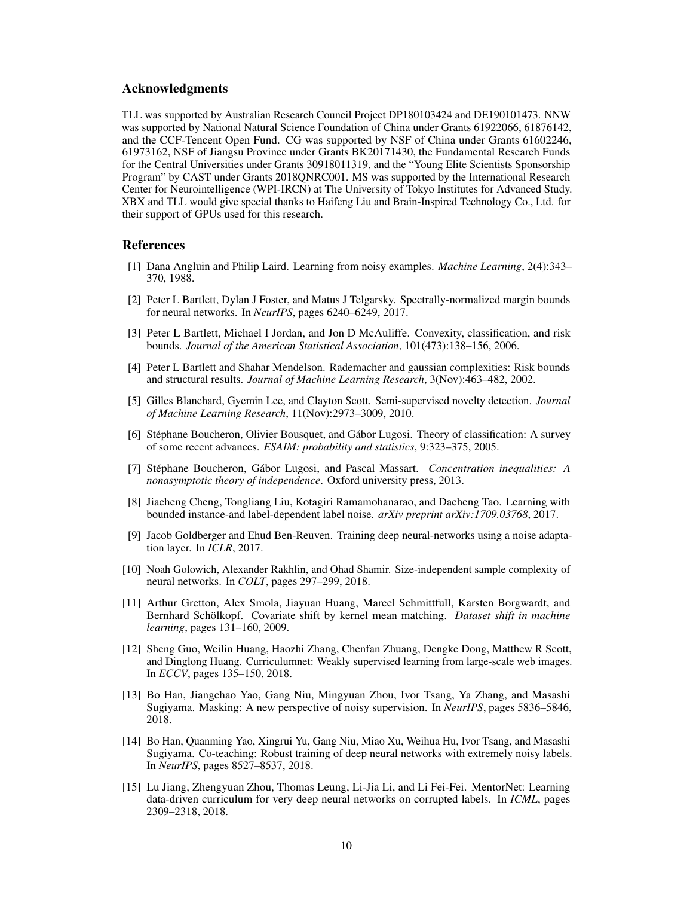## Acknowledgments

TLL was supported by Australian Research Council Project DP180103424 and DE190101473. NNW was supported by National Natural Science Foundation of China under Grants 61922066, 61876142, and the CCF-Tencent Open Fund. CG was supported by NSF of China under Grants 61602246, 61973162, NSF of Jiangsu Province under Grants BK20171430, the Fundamental Research Funds for the Central Universities under Grants 30918011319, and the "Young Elite Scientists Sponsorship Program" by CAST under Grants 2018QNRC001. MS was supported by the International Research Center for Neurointelligence (WPI-IRCN) at The University of Tokyo Institutes for Advanced Study. XBX and TLL would give special thanks to Haifeng Liu and Brain-Inspired Technology Co., Ltd. for their support of GPUs used for this research.

## **References**

- <span id="page-9-0"></span>[1] Dana Angluin and Philip Laird. Learning from noisy examples. *Machine Learning*, 2(4):343– 370, 1988.
- [2] Peter L Bartlett, Dylan J Foster, and Matus J Telgarsky. Spectrally-normalized margin bounds for neural networks. In *NeurIPS*, pages 6240–6249, 2017.
- [3] Peter L Bartlett, Michael I Jordan, and Jon D McAuliffe. Convexity, classification, and risk bounds. *Journal of the American Statistical Association*, 101(473):138–156, 2006.
- [4] Peter L Bartlett and Shahar Mendelson. Rademacher and gaussian complexities: Risk bounds and structural results. *Journal of Machine Learning Research*, 3(Nov):463–482, 2002.
- <span id="page-9-7"></span>[5] Gilles Blanchard, Gyemin Lee, and Clayton Scott. Semi-supervised novelty detection. *Journal of Machine Learning Research*, 11(Nov):2973–3009, 2010.
- <span id="page-9-9"></span>[6] Stéphane Boucheron, Olivier Bousquet, and Gábor Lugosi. Theory of classification: A survey of some recent advances. *ESAIM: probability and statistics*, 9:323–375, 2005.
- [7] Stéphane Boucheron, Gábor Lugosi, and Pascal Massart. *Concentration inequalities: A nonasymptotic theory of independence*. Oxford university press, 2013.
- <span id="page-9-6"></span>[8] Jiacheng Cheng, Tongliang Liu, Kotagiri Ramamohanarao, and Dacheng Tao. Learning with bounded instance-and label-dependent label noise. *arXiv preprint arXiv:1709.03768*, 2017.
- <span id="page-9-5"></span>[9] Jacob Goldberger and Ehud Ben-Reuven. Training deep neural-networks using a noise adaptation layer. In *ICLR*, 2017.
- <span id="page-9-10"></span>[10] Noah Golowich, Alexander Rakhlin, and Ohad Shamir. Size-independent sample complexity of neural networks. In *COLT*, pages 297–299, 2018.
- <span id="page-9-8"></span>[11] Arthur Gretton, Alex Smola, Jiayuan Huang, Marcel Schmittfull, Karsten Borgwardt, and Bernhard Schölkopf. Covariate shift by kernel mean matching. *Dataset shift in machine learning*, pages 131–160, 2009.
- <span id="page-9-4"></span>[12] Sheng Guo, Weilin Huang, Haozhi Zhang, Chenfan Zhuang, Dengke Dong, Matthew R Scott, and Dinglong Huang. Curriculumnet: Weakly supervised learning from large-scale web images. In *ECCV*, pages 135–150, 2018.
- <span id="page-9-3"></span>[13] Bo Han, Jiangchao Yao, Gang Niu, Mingyuan Zhou, Ivor Tsang, Ya Zhang, and Masashi Sugiyama. Masking: A new perspective of noisy supervision. In *NeurIPS*, pages 5836–5846, 2018.
- <span id="page-9-1"></span>[14] Bo Han, Quanming Yao, Xingrui Yu, Gang Niu, Miao Xu, Weihua Hu, Ivor Tsang, and Masashi Sugiyama. Co-teaching: Robust training of deep neural networks with extremely noisy labels. In *NeurIPS*, pages 8527–8537, 2018.
- <span id="page-9-2"></span>[15] Lu Jiang, Zhengyuan Zhou, Thomas Leung, Li-Jia Li, and Li Fei-Fei. MentorNet: Learning data-driven curriculum for very deep neural networks on corrupted labels. In *ICML*, pages 2309–2318, 2018.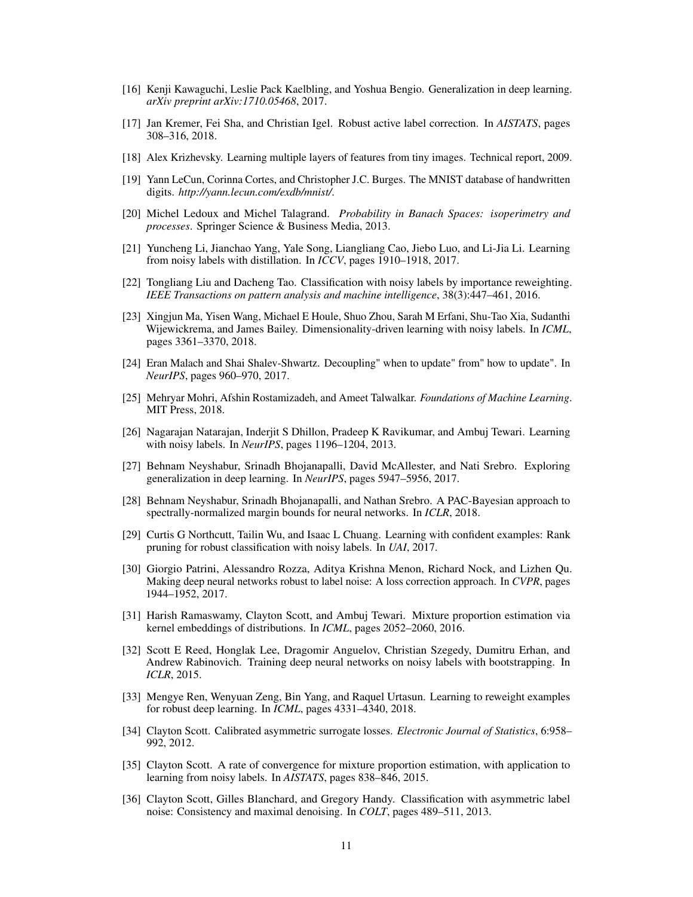- <span id="page-10-15"></span>[16] Kenji Kawaguchi, Leslie Pack Kaelbling, and Yoshua Bengio. Generalization in deep learning. *arXiv preprint arXiv:1710.05468*, 2017.
- <span id="page-10-3"></span>[17] Jan Kremer, Fei Sha, and Christian Igel. Robust active label correction. In *AISTATS*, pages 308–316, 2018.
- <span id="page-10-17"></span>[18] Alex Krizhevsky. Learning multiple layers of features from tiny images. Technical report, 2009.
- <span id="page-10-16"></span>[19] Yann LeCun, Corinna Cortes, and Christopher J.C. Burges. The MNIST database of handwritten digits. *http://yann.lecun.com/exdb/mnist/*.
- [20] Michel Ledoux and Michel Talagrand. *Probability in Banach Spaces: isoperimetry and processes*. Springer Science & Business Media, 2013.
- <span id="page-10-5"></span>[21] Yuncheng Li, Jianchao Yang, Yale Song, Liangliang Cao, Jiebo Luo, and Li-Jia Li. Learning from noisy labels with distillation. In *ICCV*, pages 1910–1918, 2017.
- <span id="page-10-6"></span>[22] Tongliang Liu and Dacheng Tao. Classification with noisy labels by importance reweighting. *IEEE Transactions on pattern analysis and machine intelligence*, 38(3):447–461, 2016.
- <span id="page-10-2"></span>[23] Xingjun Ma, Yisen Wang, Michael E Houle, Shuo Zhou, Sarah M Erfani, Shu-Tao Xia, Sudanthi Wijewickrema, and James Bailey. Dimensionality-driven learning with noisy labels. In *ICML*, pages 3361–3370, 2018.
- <span id="page-10-0"></span>[24] Eran Malach and Shai Shalev-Shwartz. Decoupling" when to update" from" how to update". In *NeurIPS*, pages 960–970, 2017.
- <span id="page-10-13"></span>[25] Mehryar Mohri, Afshin Rostamizadeh, and Ameet Talwalkar. *Foundations of Machine Learning*. MIT Press, 2018.
- <span id="page-10-9"></span>[26] Nagarajan Natarajan, Inderjit S Dhillon, Pradeep K Ravikumar, and Ambuj Tewari. Learning with noisy labels. In *NeurIPS*, pages 1196–1204, 2013.
- <span id="page-10-14"></span>[27] Behnam Neyshabur, Srinadh Bhojanapalli, David McAllester, and Nati Srebro. Exploring generalization in deep learning. In *NeurIPS*, pages 5947–5956, 2017.
- [28] Behnam Neyshabur, Srinadh Bhojanapalli, and Nathan Srebro. A PAC-Bayesian approach to spectrally-normalized margin bounds for neural networks. In *ICLR*, 2018.
- <span id="page-10-7"></span>[29] Curtis G Northcutt, Tailin Wu, and Isaac L Chuang. Learning with confident examples: Rank pruning for robust classification with noisy labels. In *UAI*, 2017.
- <span id="page-10-10"></span>[30] Giorgio Patrini, Alessandro Rozza, Aditya Krishna Menon, Richard Nock, and Lizhen Qu. Making deep neural networks robust to label noise: A loss correction approach. In *CVPR*, pages 1944–1952, 2017.
- <span id="page-10-12"></span>[31] Harish Ramaswamy, Clayton Scott, and Ambuj Tewari. Mixture proportion estimation via kernel embeddings of distributions. In *ICML*, pages 2052–2060, 2016.
- <span id="page-10-4"></span>[32] Scott E Reed, Honglak Lee, Dragomir Anguelov, Christian Szegedy, Dumitru Erhan, and Andrew Rabinovich. Training deep neural networks on noisy labels with bootstrapping. In *ICLR*, 2015.
- <span id="page-10-1"></span>[33] Mengye Ren, Wenyuan Zeng, Bin Yang, and Raquel Urtasun. Learning to reweight examples for robust deep learning. In *ICML*, pages 4331–4340, 2018.
- [34] Clayton Scott. Calibrated asymmetric surrogate losses. *Electronic Journal of Statistics*, 6:958– 992, 2012.
- <span id="page-10-8"></span>[35] Clayton Scott. A rate of convergence for mixture proportion estimation, with application to learning from noisy labels. In *AISTATS*, pages 838–846, 2015.
- <span id="page-10-11"></span>[36] Clayton Scott, Gilles Blanchard, and Gregory Handy. Classification with asymmetric label noise: Consistency and maximal denoising. In *COLT*, pages 489–511, 2013.